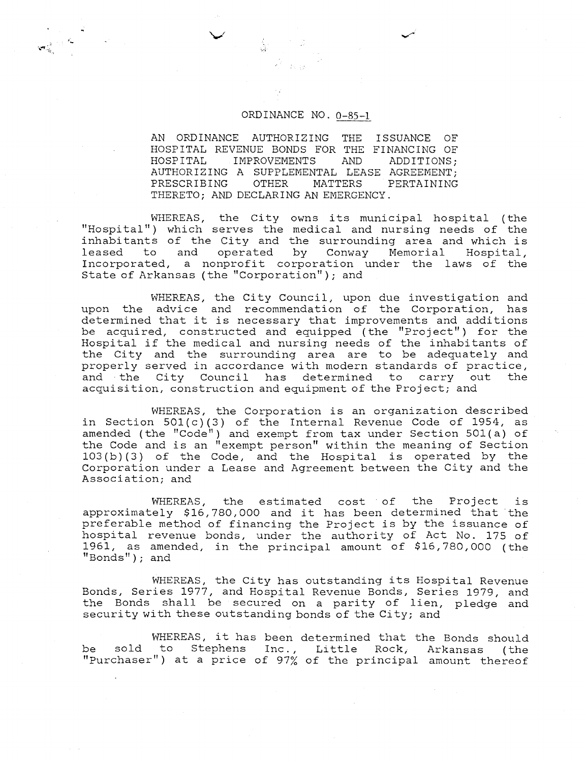AN ORDINANCE AUTHORIZING THE ISSUANCE OF HOSPITAL REVENUE BONDS FOR THE FINANCING OF HOSPITAL IMPROVEMENTS AND ADDITIONS; IMPROVEMENTS AUTHORIZING A SUPPLEMENTAL LEASE AGREEMENT;<br>PRESCRIBING OTHER MATTERS PERTAINING PRESCRIBING OTHER MATTERS PERTAINING THERETO; AND DECLARING AN EMERGENCY.

WHEREAS, the City owns its municipal hospital (the "Hospital") which serves the medical and nursing needs of the inhabitants of the City and the surrounding area and which is leased to and operated by Conway Memorial Hospital, Incorporated, a nonprofit corporation under the laws of the State of Arkansas (the "corporation") ; and

WHEREAS, the City Council, upon due investigation and upon the advice and recommendation of the Corporation, has determined that it is necessary that improvements and additions be acquired, constructed and equipped (the "Project") for the Hospital if the medical and nursing needs of the inhabitants of the City and the surrounding area are to be adequately and properly served in accordance with modern standards of practice, and the City Council has determined to carry out the acquisition, construction and equipment of the Project; and

WHEREAS, the Corporation is an organization described in Section  $501(c)(3)$  of the Internal Revenue Code of 1954, as amended (the "Code") and exempt from tax under Section 501(a) of the Code and is an "exempt person" within the meaning of Section lO3(b) (3) of the Code, and the Hospital is operated by the Corporation under a Lease and Agreement between the City and the Association; and

WHEREAS, the estimated cost of the Project is approximately \$16,780,000 and it has been determined that the preferable method of financing the Project is by the issuance of hospital revenue bonds, under the authority of Act No. 175 of 1961, as amended, in the principal amount of \$16,780,000 (the  $"Bonds"$  ) ; and

WHEREAS, the City has outstanding its Hospital Revenue Bonds, Series 1977, and Hospital Revenue Bonds, Series 1979, and the Bonds shall be secured on a parity of lien, pledge and security with these outstanding bonds of the City; and

WHEREAS, it has been determined that the Bonds should be sold to Stephens Inc., Little Rock, Arkansas (the "purchaser") at a price of 97% of the principal amount thereof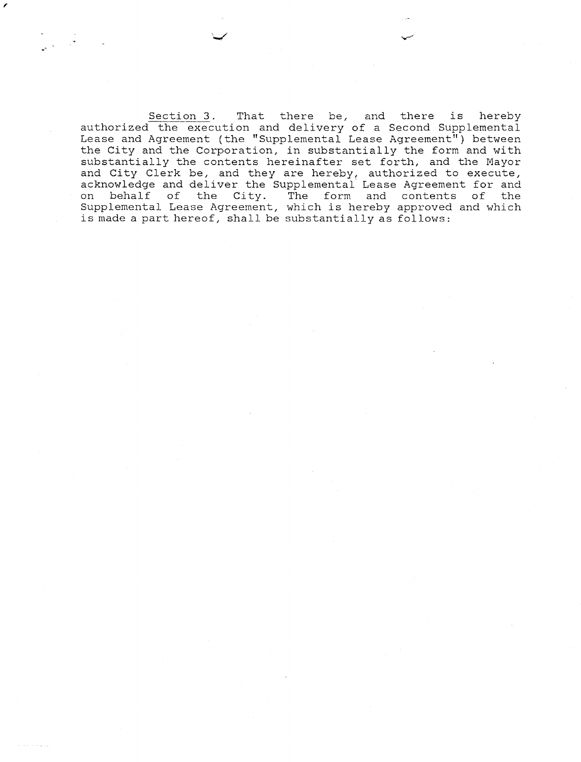Section **3.** That there be, and there is hereby authorized the execution and delivery of a Second Supplemental Lease and Agreement (the "Supplemental Lease Agreement") between the City and the Corporation, in substantially the form and with substantially the contents hereinafter set forth, and the Mayor and City Clerk be, and they are hereby, authorized to execute, acknowledge and deliver the Supplemental Lease Agreement for and on behalf of the City. The form and contents of the Supplemental Lease Agreement, which is hereby approved and which is made a part hereof, shall be substantially as follows: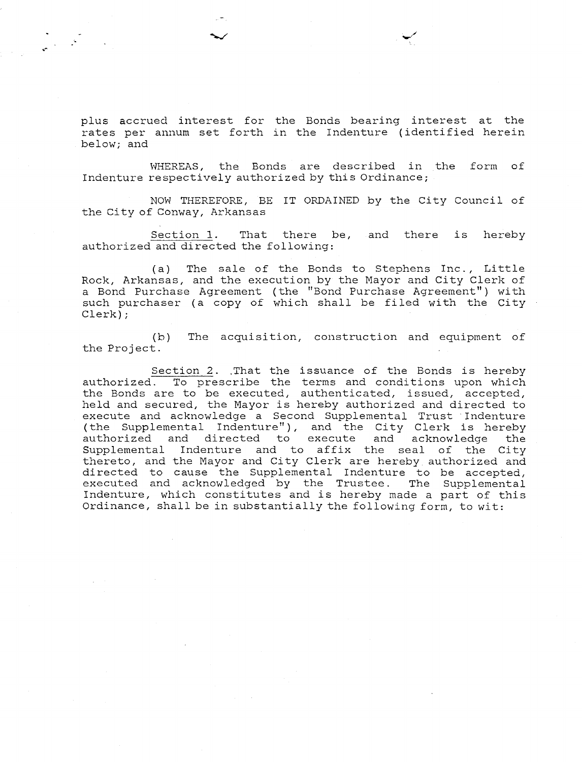plus accrued interest for the Bonds bearing interest at the rates per annum set forth in the Indenture (identified herein below; and

WHEREAS, the Eonds are described in the form of Indenture respectively authorized by this Ordinance;

NOW THEREFORE, BE IT ORDAINED by the City Council of the City of Conway, Arkansas

Section 1. That there be, and there is hereby authorized and directed the following:

(a) The sale of the Bonds to Stephens Inc., Little Rock, Arkansas, and the execution by the Mayor and City Clerk of a Bond Purchase Agreement (the "Bond Purchase Agreement") with such purchaser (a copy of which shall be filed with the City Clerk) ;

(b) The acquisition, construction and equipment of the Project.

Section 2. .That the issuance of the Bonds is hereby authorized. To prescribe the terms and conditions upon which the Bonds are to be executed, authenticated, issued, accepted, held and secured, the Mayor is hereby authorized and directed to execute and acknowledge a Second Supplemental Trust Indenture (the Supplemental Indenture"), and the City Clerk is hereby<br>authorized and directed to execute and acknowledge the to execute and acknowledge the Supplemental Indenture and to affix the seal of the City thereto, and the Mayor and City Clerk are hereby authorized and directed to cause the Supplemental Indenture to be accepted, executed and acknowledged by the Trustee. The Supplemental Indenture, which constitutes and is hereby made a part of this Ordinance, shall be in substantially the following form, to wit: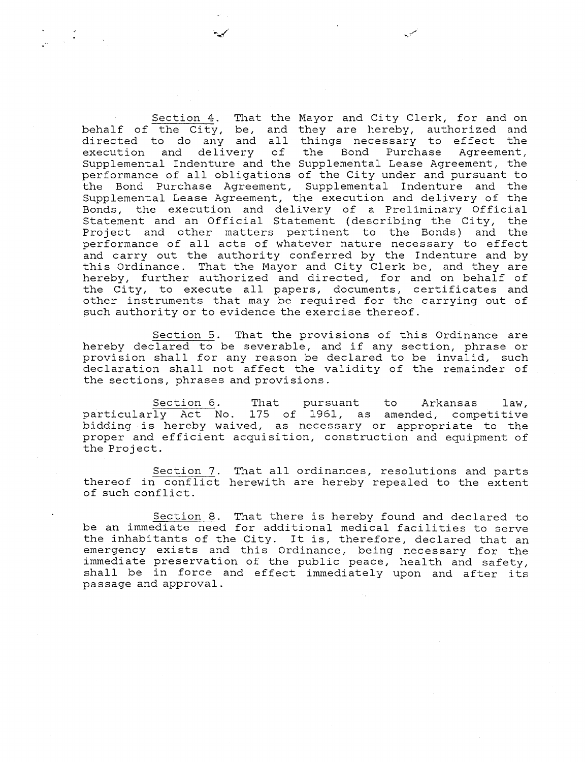Section 4. That the Mayor and City Clerk, for and on behalf of the City, be, and they are hereby, authorized and directed to do any and all things necessary to effect the execution and delivery of the Bond Purchase Agreement, execution and delivery of the Bond Purchase Agreement, Supplemental Indenture and the Supplemental Lease Agreement, the performance of all obligations of the City under and pursuant to the Bond Purchase Agreement, Supplemental Indenture and the Supplemental Lease Agreement, the execution and delivery of the Bonds, the execution and delivery of a Preliminary Official Statement and an Official Statement (describing the City, the Project and other matters pertinent to the Bonds) and the performance of all acts of whatever nature necessary to effect and carry out the authority conferred by the Indenture and by this Ordinance. That the Mayor and City Clerk be, and they are hereby, further authorized and directed, for and on behalf of the City, to execute all papers, documents, certificates and other instruments that may be required for the carrying out of such authority or to evidence the exercise thereof.

Section 5. That the provisions of this Ordinance are hereby declared to be severable, and if any section, phrase or provision shall for any reason be declared to be invalid, such declaration shall not affect the validity of the remainder of the sections, phrases and provisions.

Section 6. That pursuant to Arkansas law, particularly Act No. 175 of 1961, as amended, competitive bidding is hereby waived, as necessary or appropriate- to the proper and efficient acquisition, construction and equipment of the Project.

Section 7. That all ordinances, resolutions and parts thereof in conflict herewith are hereby repealed to the extent of such conflict.

Section 8. That there is hereby found and declared to be an immediate need for additional medical facilities to serve the inhabitants of the City. It is, therefore, declared that an emergency exists and this Ordinance, being necessary for the immediate preservation of the public peace, health and safety, shall be in force and effect immediately upon and after its passage and approval.